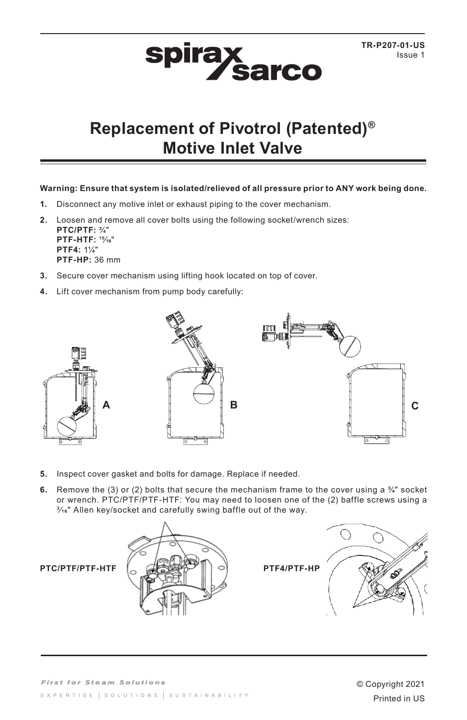## **spirax sarco**

## **Replacement of Pivotrol (Patented)® Motive Inlet Valve**

## **Warning: Ensure that system is isolated/relieved of all pressure prior to ANY work being done.**

- **1.** Disconnect any motive inlet or exhaust piping to the cover mechanism.
- **2.** Loosen and remove all cover bolts using the following socket/wrench sizes: **PTC/PTF:** ¾" **PTF-HTF:** 15/16" **PTF4:** 1¼" **PTF-HP:** 36 mm
- **3.** Secure cover mechanism using lifting hook located on top of cover.
- **4.** Lift cover mechanism from pump body carefully:



- **5.** Inspect cover gasket and bolts for damage. Replace if needed.
- **6.** Remove the (3) or (2) bolts that secure the mechanism frame to the cover using a  $\frac{3}{4}$ " socket or wrench. PTC/PTF/PTF-HTF: You may need to loosen one of the (2) baffle screws using a  $\frac{3}{16}$ " Allen key/socket and carefully swing baffle out of the way.